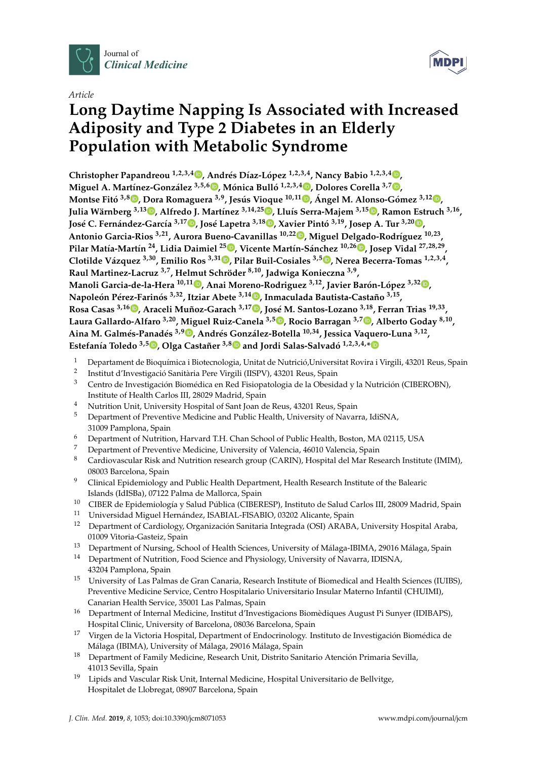

*Article*

# **Long Daytime Napping Is Associated with Increased Adiposity and Type 2 Diabetes in an Elderly Population with Metabolic Syndrome**

**Christopher Papandreou 1,2,3,[4](https://orcid.org/0000-0002-6803-507X) , Andrés Díaz-López 1,2,3,4, Nancy Babio 1,2,3,4 [,](https://orcid.org/0000-0003-3527-5277) Miguel A. Martínez-González 3,5,6 [,](https://orcid.org/0000-0002-3917-9808) Mónica Bulló 1,2,3,4 [,](https://orcid.org/0000-0002-0218-7046) Dolores Corella 3,7 [,](https://orcid.org/0000-0002-2366-4104) Montse Fitó 3,8 [,](https://orcid.org/0000-0002-1817-483X) Dora Romaguera 3,9, Jesús Vioque 10,11 [,](https://orcid.org/0000-0002-2284-148X) Ángel M. Alonso-Gómez 3,12 [,](https://orcid.org/0000-0003-2945-7509) Julia Wärnberg 3,13 [,](https://orcid.org/0000-0002-8408-316X) Alfredo J. Martínez 3,14,25 [,](https://orcid.org/0000-0001-5218-6941) Lluís Serra-Majem 3,15 [,](https://orcid.org/0000-0002-9658-9061) Ramon Estruch 3,16 ,** José C. Fernández-García <sup>3[,](https://orcid.org/0000-0002-6940-0761)17</sup>. José Lapetra <sup>3,18</sup>. Xavier Pintó <sup>3,19</sup>, Josep A. Tur <sup>3,20</sup>. , **Antonio Garcia-Rios 3,21, Aurora Bueno-Cavanillas 10,22 [,](https://orcid.org/0000-0002-0649-3016) Miguel Delgado-Rodríguez 10,23 ,** Pilar Matía-Martín <sup>24</sup>[,](https://orcid.org/0000-0003-0552-2804) Lidia Daimiel <sup>25</sup> D, Vicente Martín-Sánchez <sup>10,26</sup> D, Josep Vidal <sup>27,28,29</sup>, **Clotilde Vázquez 3,30, Emilio Ros 3,31 [,](https://orcid.org/0000-0002-2573-1294) Pilar Buil-Cosiales 3,5 [,](https://orcid.org/0000-0002-8586-577X) Nerea Becerra-Tomas 1,2,3,4 , Raul Martinez-Lacruz 3,7, Helmut Schröder 8,10, Jadwiga Konieczna 3,9 , Manoli Garcia-de-la-Hera 10,11 [,](https://orcid.org/0000-0001-5742-2704) Anai Moreno-Rodriguez 3,12, Javier Barón-López 3,32 [,](https://orcid.org/0000-0001-8707-304X) Napoleón Pérez-Farinós 3,32, Itziar Abete 3,14 [,](https://orcid.org/0000-0002-6475-5387) Inmaculada Bautista-Castaño 3,15 , Rosa Casas 3,1[6](https://orcid.org/0000-0002-0211-9166) , Araceli Muñoz-Garach 3,17 [,](https://orcid.org/0000-0002-1867-1158) José M. Santos-Lozano 3,18, Ferran Trias 19,33 , Laura Gallardo-Alfaro 3,20, Miguel Ruiz-Canela 3,5 [,](https://orcid.org/0000-0002-7684-2787) Rocio Barragan 3,7 [,](https://orcid.org/0000-0001-8072-3791) Alberto Goday 8,10 , Aina M. Galmés-Panadés 3,9 [,](https://orcid.org/0000-0001-6977-9874) Andrés González-Botella 10,34, Jessica Vaquero-Luna 3,12 , Estefanía Toledo 3,5 [,](https://orcid.org/0000-0002-6263-4434) Olga Castañer 3,[8](https://orcid.org/0000-0003-3169-997X) and Jordi Salas-Salvadó 1,2,3,4,[\\*](https://orcid.org/0000-0003-2700-7459)**

- <sup>1</sup> Departament de Bioquímica i Biotecnologia, Unitat de Nutrició,Universitat Rovira i Virgili, 43201 Reus, Spain
- 2 Institut d'Investigació Sanitària Pere Virgili (IISPV), 43201 Reus, Spain
- <sup>3</sup> Centro de Investigación Biomédica en Red Fisiopatologia de la Obesidad y la Nutrición (CIBEROBN), Institute of Health Carlos III, 28029 Madrid, Spain
- <sup>4</sup> Nutrition Unit, University Hospital of Sant Joan de Reus, 43201 Reus, Spain
- <sup>5</sup> Department of Preventive Medicine and Public Health, University of Navarra, IdiSNA, 31009 Pamplona, Spain
- <sup>6</sup> Department of Nutrition, Harvard T.H. Chan School of Public Health, Boston, MA 02115, USA
- <sup>7</sup> Department of Preventive Medicine, University of Valencia, 46010 Valencia, Spain  $\frac{8}{100}$  Cardiovaegular Bisk and Nutrition research group (CARIN). Hespital del Mar Bes
- <sup>8</sup> Cardiovascular Risk and Nutrition research group (CARIN), Hospital del Mar Research Institute (IMIM), 08003 Barcelona, Spain
- <sup>9</sup> Clinical Epidemiology and Public Health Department, Health Research Institute of the Balearic Islands (IdISBa), 07122 Palma de Mallorca, Spain
- <sup>10</sup> CIBER de Epidemiología y Salud Pública (CIBERESP), Instituto de Salud Carlos III, 28009 Madrid, Spain
- <sup>11</sup> Universidad Miguel Hernández, ISABIAL-FISABIO, 03202 Alicante, Spain
- <sup>12</sup> Department of Cardiology, Organización Sanitaria Integrada (OSI) ARABA, University Hospital Araba, 01009 Vitoria-Gasteiz, Spain
- <sup>13</sup> Department of Nursing, School of Health Sciences, University of Málaga-IBIMA, 29016 Málaga, Spain
- <sup>14</sup> Department of Nutrition, Food Science and Physiology, University of Navarra, IDISNA, 43204 Pamplona, Spain
- <sup>15</sup> University of Las Palmas de Gran Canaria, Research Institute of Biomedical and Health Sciences (IUIBS), Preventive Medicine Service, Centro Hospitalario Universitario Insular Materno Infantil (CHUIMI), Canarian Health Service, 35001 Las Palmas, Spain
- <sup>16</sup> Department of Internal Medicine, Institut d'Investigacions Biomèdiques August Pi Sunyer (IDIBAPS), Hospital Clinic, University of Barcelona, 08036 Barcelona, Spain
- <sup>17</sup> Virgen de la Victoria Hospital, Department of Endocrinology. Instituto de Investigación Biomédica de Málaga (IBIMA), University of Málaga, 29016 Málaga, Spain
- <sup>18</sup> Department of Family Medicine, Research Unit, Distrito Sanitario Atención Primaria Sevilla, 41013 Sevilla, Spain
- <sup>19</sup> Lipids and Vascular Risk Unit, Internal Medicine, Hospital Universitario de Bellvitge, Hospitalet de Llobregat, 08907 Barcelona, Spain

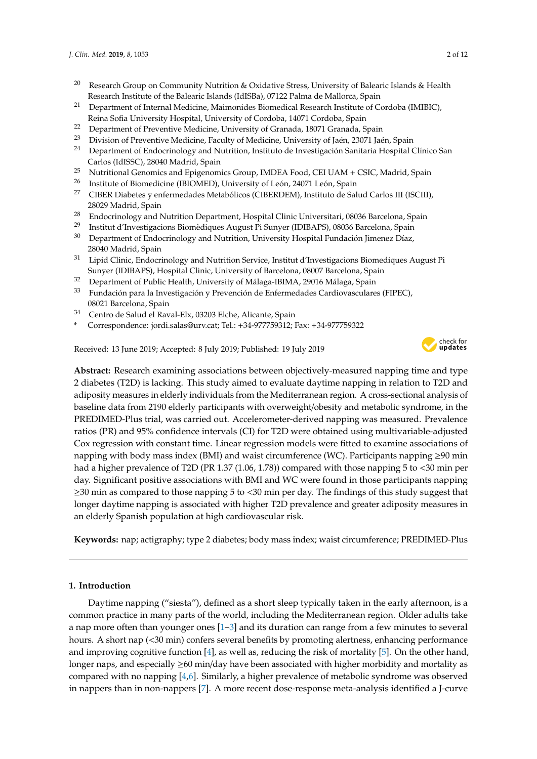- <sup>20</sup> Research Group on Community Nutrition & Oxidative Stress, University of Balearic Islands & Health Research Institute of the Balearic Islands (IdISBa), 07122 Palma de Mallorca, Spain
- <sup>21</sup> Department of Internal Medicine, Maimonides Biomedical Research Institute of Cordoba (IMIBIC), Reina Sofia University Hospital, University of Cordoba, 14071 Cordoba, Spain
- <sup>22</sup> Department of Preventive Medicine, University of Granada, 18071 Granada, Spain
- <sup>23</sup> Division of Preventive Medicine, Faculty of Medicine, University of Jaén, 23071 Jaén, Spain
- <sup>24</sup> Department of Endocrinology and Nutrition, Instituto de Investigación Sanitaria Hospital Clínico San Carlos (IdISSC), 28040 Madrid, Spain
- <sup>25</sup> Nutritional Genomics and Epigenomics Group, IMDEA Food, CEI UAM + CSIC, Madrid, Spain<br><sup>26</sup> Institute of Biomedicine (IRIOMED), University of León, 24071 León, Spain
- <sup>26</sup> Institute of Biomedicine (IBIOMED), University of León, 24071 León, Spain<br><sup>27</sup> CIBER Diabetes y enfermedades Metabólicos (CIBERDEM), Instituto de Sal
- <sup>27</sup> CIBER Diabetes y enfermedades Metabólicos (CIBERDEM), Instituto de Salud Carlos III (ISCIII), 28029 Madrid, Spain
- <sup>28</sup> Endocrinology and Nutrition Department, Hospital Clinic Universitari, 08036 Barcelona, Spain<br><sup>29</sup> Institut d'Investigacione Piemèdiques August Pi Sunyer (IDIPA PS), 08036 Barcelona, Spain
- <sup>29</sup> Institut d'Investigacions Biomèdiques August Pi Sunyer (IDIBAPS), 08036 Barcelona, Spain
- <sup>30</sup> Department of Endocrinology and Nutrition, University Hospital Fundación Jimenez Díaz, 28040 Madrid, Spain
- <sup>31</sup> Lipid Clinic, Endocrinology and Nutrition Service, Institut d'Investigacions Biomediques August Pi Sunyer (IDIBAPS), Hospital Clinic, University of Barcelona, 08007 Barcelona, Spain
- <sup>32</sup> Department of Public Health, University of Málaga-IBIMA, 29016 Málaga, Spain
- <sup>33</sup> Fundación para la Investigación y Prevención de Enfermedades Cardiovasculares (FIPEC), 08021 Barcelona, Spain
- <sup>34</sup> Centro de Salud el Raval-Elx, 03203 Elche, Alicante, Spain
- **\*** Correspondence: jordi.salas@urv.cat; Tel.: +34-977759312; Fax: +34-977759322

Received: 13 June 2019; Accepted: 8 July 2019; Published: 19 July 2019



**Abstract:** Research examining associations between objectively-measured napping time and type 2 diabetes (T2D) is lacking. This study aimed to evaluate daytime napping in relation to T2D and adiposity measures in elderly individuals from the Mediterranean region. A cross-sectional analysis of baseline data from 2190 elderly participants with overweight/obesity and metabolic syndrome, in the PREDIMED-Plus trial, was carried out. Accelerometer-derived napping was measured. Prevalence ratios (PR) and 95% confidence intervals (CI) for T2D were obtained using multivariable-adjusted Cox regression with constant time. Linear regression models were fitted to examine associations of napping with body mass index (BMI) and waist circumference (WC). Participants napping  $\geq$ 90 min had a higher prevalence of T2D (PR 1.37 (1.06, 1.78)) compared with those napping 5 to <30 min per day. Significant positive associations with BMI and WC were found in those participants napping  $\geq$ 30 min as compared to those napping 5 to <30 min per day. The findings of this study suggest that longer daytime napping is associated with higher T2D prevalence and greater adiposity measures in an elderly Spanish population at high cardiovascular risk.

**Keywords:** nap; actigraphy; type 2 diabetes; body mass index; waist circumference; PREDIMED-Plus

#### **1. Introduction**

Daytime napping ("siesta"), defined as a short sleep typically taken in the early afternoon, is a common practice in many parts of the world, including the Mediterranean region. Older adults take a nap more often than younger ones [\[1](#page-9-0)[–3\]](#page-9-1) and its duration can range from a few minutes to several hours. A short nap (<30 min) confers several benefits by promoting alertness, enhancing performance and improving cognitive function [\[4\]](#page-9-2), as well as, reducing the risk of mortality [\[5\]](#page-9-3). On the other hand, longer naps, and especially ≥60 min/day have been associated with higher morbidity and mortality as compared with no napping [\[4](#page-9-2)[,6\]](#page-9-4). Similarly, a higher prevalence of metabolic syndrome was observed in nappers than in non-nappers [\[7\]](#page-9-5). A more recent dose-response meta-analysis identified a J-curve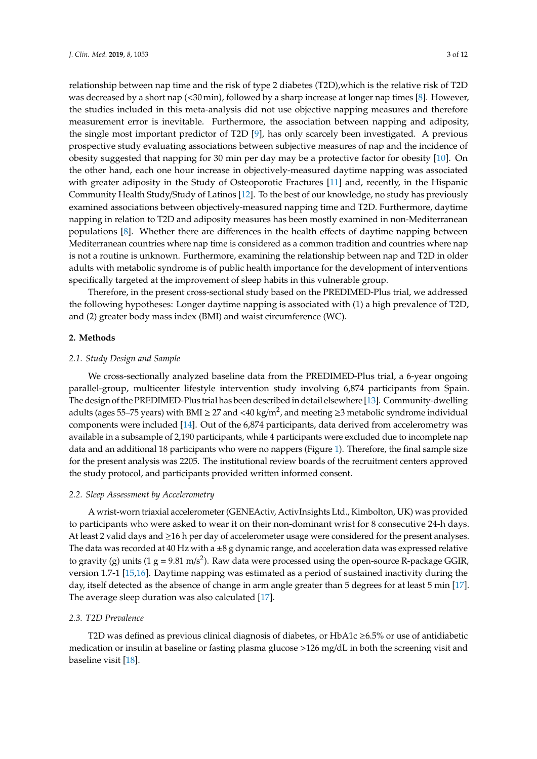relationship between nap time and the risk of type 2 diabetes (T2D),which is the relative risk of T2D was decreased by a short nap (<30 min), followed by a sharp increase at longer nap times [\[8\]](#page-9-6). However, the studies included in this meta-analysis did not use objective napping measures and therefore measurement error is inevitable. Furthermore, the association between napping and adiposity, the single most important predictor of T2D [\[9\]](#page-9-7), has only scarcely been investigated. A previous prospective study evaluating associations between subjective measures of nap and the incidence of obesity suggested that napping for 30 min per day may be a protective factor for obesity [\[10\]](#page-9-8). On the other hand, each one hour increase in objectively-measured daytime napping was associated with greater adiposity in the Study of Osteoporotic Fractures [\[11\]](#page-9-9) and, recently, in the Hispanic Community Health Study/Study of Latinos [\[12\]](#page-9-10). To the best of our knowledge, no study has previously examined associations between objectively-measured napping time and T2D. Furthermore, daytime napping in relation to T2D and adiposity measures has been mostly examined in non-Mediterranean populations [\[8\]](#page-9-6). Whether there are differences in the health effects of daytime napping between Mediterranean countries where nap time is considered as a common tradition and countries where nap is not a routine is unknown. Furthermore, examining the relationship between nap and T2D in older adults with metabolic syndrome is of public health importance for the development of interventions specifically targeted at the improvement of sleep habits in this vulnerable group.

Therefore, in the present cross-sectional study based on the PREDIMED-Plus trial, we addressed the following hypotheses: Longer daytime napping is associated with (1) a high prevalence of T2D, and (2) greater body mass index (BMI) and waist circumference (WC).

# **2. Methods**

# *2.1. Study Design and Sample*

We cross-sectionally analyzed baseline data from the PREDIMED-Plus trial, a 6-year ongoing parallel-group, multicenter lifestyle intervention study involving 6,874 participants from Spain. The design of the PREDIMED-Plus trial has been described in detail elsewhere [\[13\]](#page-9-11). Community-dwelling adults (ages 55–75 years) with BMI  $\geq$  27 and <40 kg/m<sup>2</sup>, and meeting  $\geq$ 3 metabolic syndrome individual components were included [\[14\]](#page-10-0). Out of the 6,874 participants, data derived from accelerometry was available in a subsample of 2,190 participants, while 4 participants were excluded due to incomplete nap data and an additional 18 participants who were no nappers (Figure [1\)](#page-3-0). Therefore, the final sample size for the present analysis was 2205. The institutional review boards of the recruitment centers approved the study protocol, and participants provided written informed consent.

#### *2.2. Sleep Assessment by Accelerometry*

A wrist-worn triaxial accelerometer (GENEActiv, ActivInsights Ltd., Kimbolton, UK) was provided to participants who were asked to wear it on their non-dominant wrist for 8 consecutive 24-h days. At least 2 valid days and ≥16 h per day of accelerometer usage were considered for the present analyses. The data was recorded at 40 Hz with a  $\pm 8$  g dynamic range, and acceleration data was expressed relative to gravity (g) units (1 g = 9.81 m/s<sup>2</sup>). Raw data were processed using the open-source R-package GGIR, version 1.7-1 [\[15](#page-10-1)[,16\]](#page-10-2). Daytime napping was estimated as a period of sustained inactivity during the day, itself detected as the absence of change in arm angle greater than 5 degrees for at least 5 min [\[17\]](#page-10-3). The average sleep duration was also calculated [\[17\]](#page-10-3).

# *2.3. T2D Prevalence*

T2D was defined as previous clinical diagnosis of diabetes, or HbA1c ≥6.5% or use of antidiabetic medication or insulin at baseline or fasting plasma glucose >126 mg/dL in both the screening visit and baseline visit [\[18\]](#page-10-4).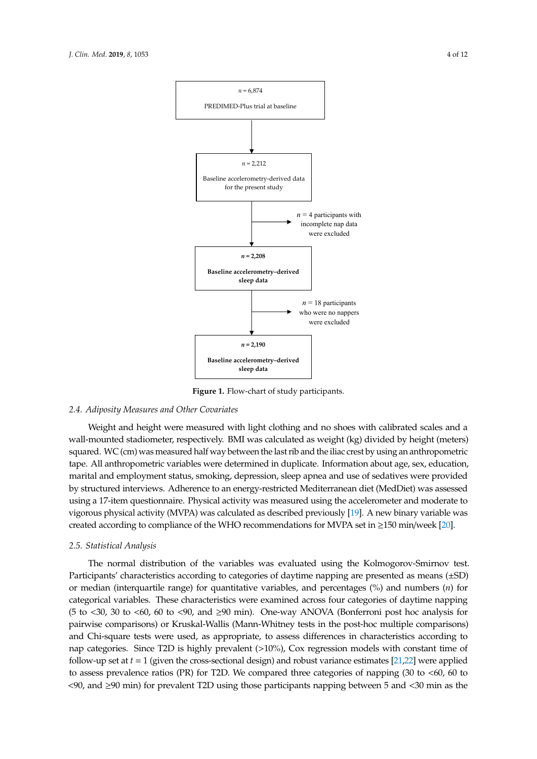<span id="page-3-0"></span>

**Figure 1.** Flow-chart of study participants. **Figure 1.** Flow-chart of study participants.

# *2.4. Adiposity Measures and Other Covariates 2.4. Adiposity Measures and Other Covariates*

Weight and height were measured with light clothing and no shoes with calibrated scales and a wall-mounted stadiometer, respectively. BMI was calculated as weight (kg) divided by height (meters)  $MC$  (and success or any  $\frac{1}{2}$  believes between the legt with and the ilia expect by using an an squared. WC (cm) was measured half way between the last rib and the iliac crest by using an anthropometric tape. All anthropometric variables were determined in duplicate. Information about age, sex, education, marital and employment status, smoking, depression, sleep apnea and use of sedatives were provided by structured interviews. Adherence to an energy-restricted Mediterranean diet (MedDiet) was assessed  $\mathbf{r}$  described previously  $\mathbf{r}$ . using a 17-item questionnaire. Physical activity was measured using the accelerometer and moderate to *2.5. Statistical Analysis*  created according to compliance of the WHO recommendations for MVPA set in ≥150 min/week [\[20\]](#page-10-6). vigorous physical activity (MVPA) was calculated as described previously [\[19\]](#page-10-5). A new binary variable was

#### Participants' characteristics according to categories of daytime napping are presented as means *2.5. Statistical Analysis*

The normal distribution of the variables was evaluated using the Kolmogorov-Smirnov test. Participants' characteristics according to categories of daytime napping are presented as means (±SD) or median (interquartile range) for quantitative variables, and percentages (%) and numbers (*n*) for categorical variables. These characteristics were examined across four categories of daytime napping (5 to  $\lt 30$ , 30 to  $\lt 60$ , 60 to  $\lt 90$ , and  $\ge 90$  min). One-way ANOVA (Bonferroni post hoc analysis for pairwise comparisons) or Kruskal-Wallis (Mann-Whitney tests in the post-hoc multiple comparisons) and Chi-square tests were used, as appropriate, to assess differences in characteristics according to nap categories. Since T2D is highly prevalent (>10%), Cox regression models with constant time of follow-up set at  $t = 1$  (given the cross-sectional design) and robust variance estimates [\[21](#page-10-7)[,22\]](#page-10-8) were applied to assess prevalence ratios (PR) for T2D. We compared three categories of napping (30 to <60, 60 to <90, and ≥90 min) for prevalent T2D using those participants napping between 5 and <30 min as the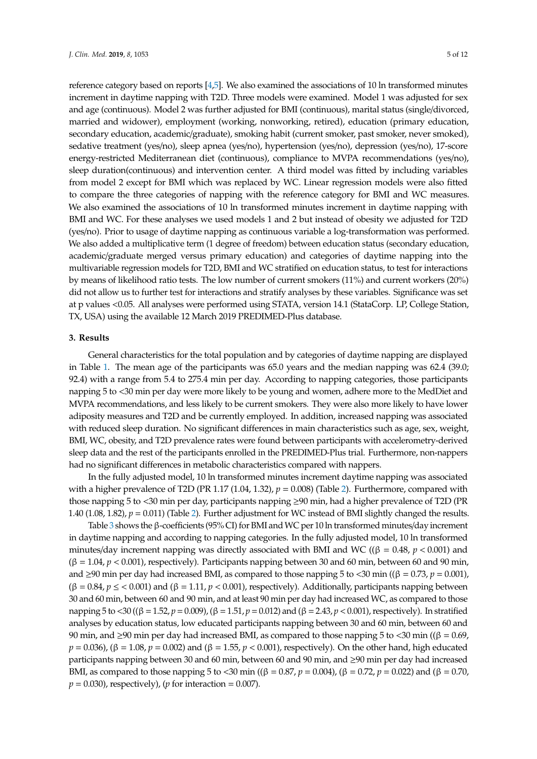reference category based on reports [\[4](#page-9-2)[,5\]](#page-9-3). We also examined the associations of 10 ln transformed minutes increment in daytime napping with T2D. Three models were examined. Model 1 was adjusted for sex and age (continuous). Model 2 was further adjusted for BMI (continuous), marital status (single/divorced, married and widower), employment (working, nonworking, retired), education (primary education, secondary education, academic/graduate), smoking habit (current smoker, past smoker, never smoked), sedative treatment (yes/no), sleep apnea (yes/no), hypertension (yes/no), depression (yes/no), 17-score energy-restricted Mediterranean diet (continuous), compliance to MVPA recommendations (yes/no), sleep duration(continuous) and intervention center. A third model was fitted by including variables from model 2 except for BMI which was replaced by WC. Linear regression models were also fitted to compare the three categories of napping with the reference category for BMI and WC measures. We also examined the associations of 10 ln transformed minutes increment in daytime napping with BMI and WC. For these analyses we used models 1 and 2 but instead of obesity we adjusted for T2D (yes/no). Prior to usage of daytime napping as continuous variable a log-transformation was performed. We also added a multiplicative term (1 degree of freedom) between education status (secondary education, academic/graduate merged versus primary education) and categories of daytime napping into the multivariable regression models for T2D, BMI and WC stratified on education status, to test for interactions by means of likelihood ratio tests. The low number of current smokers (11%) and current workers (20%) did not allow us to further test for interactions and stratify analyses by these variables. Significance was set at p values <0.05. All analyses were performed using STATA, version 14.1 (StataCorp. LP, College Station, TX, USA) using the available 12 March 2019 PREDIMED-Plus database.

#### **3. Results**

General characteristics for the total population and by categories of daytime napping are displayed in Table [1.](#page-5-0) The mean age of the participants was 65.0 years and the median napping was 62.4 (39.0; 92.4) with a range from 5.4 to 275.4 min per day. According to napping categories, those participants napping 5 to <30 min per day were more likely to be young and women, adhere more to the MedDiet and MVPA recommendations, and less likely to be current smokers. They were also more likely to have lower adiposity measures and T2D and be currently employed. In addition, increased napping was associated with reduced sleep duration. No significant differences in main characteristics such as age, sex, weight, BMI, WC, obesity, and T2D prevalence rates were found between participants with accelerometry-derived sleep data and the rest of the participants enrolled in the PREDIMED-Plus trial. Furthermore, non-nappers had no significant differences in metabolic characteristics compared with nappers.

In the fully adjusted model, 10 ln transformed minutes increment daytime napping was associated with a higher prevalence of T2D (PR 1.17 (1.04, 1.3[2\)](#page-6-0),  $p = 0.008$ ) (Table 2). Furthermore, compared with those napping 5 to <30 min per day, participants napping ≥90 min, had a higher prevalence of T2D (PR 1.40 (1.08, 1.82), *p* = 0.011) (Table [2\)](#page-6-0). Further adjustment for WC instead of BMI slightly changed the results.

Table [3](#page-6-1) shows the  $\beta$ -coefficients (95% CI) for BMI and WC per 10 ln transformed minutes/day increment in daytime napping and according to napping categories. In the fully adjusted model, 10 ln transformed minutes/day increment napping was directly associated with BMI and WC ( $(\beta = 0.48, p < 0.001)$ ) and  $(\beta = 1.04, p < 0.001)$ , respectively). Participants napping between 30 and 60 min, between 60 and 90 min, and  $\geq$ 90 min per day had increased BMI, as compared to those napping 5 to <30 min (( $\beta$  = 0.73,  $p$  = 0.001), (β = 0.84, *p* ≤ < 0.001) and (β = 1.11, *p* < 0.001), respectively). Additionally, participants napping between 30 and 60 min, between 60 and 90 min, and at least 90 min per day had increased WC, as compared to those napping 5 to<30 ((β=1.52, *p*=0.009), (β=1.51, *p*=0.012) and (β=2.43, *p*<0.001), respectively). In stratified analyses by education status, low educated participants napping between 30 and 60 min, between 60 and 90 min, and ≥90 min per day had increased BMI, as compared to those napping 5 to <30 min ((β = 0.69, *p* = 0.036), (β = 1.08, *p* = 0.002) and (β = 1.55, *p* < 0.001), respectively). On the other hand, high educated participants napping between 30 and 60 min, between 60 and 90 min, and ≥90 min per day had increased BMI, as compared to those napping 5 to <30 min ((β = 0.87, *p* = 0.004), (β = 0.72, *p* = 0.022) and (β = 0.70,  $p = 0.030$ , respectively), (*p* for interaction = 0.007).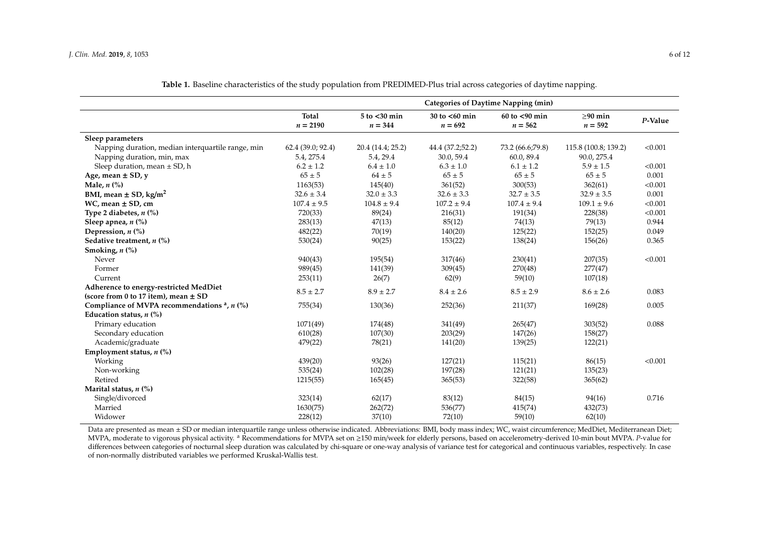|                                                   | <b>Categories of Daytime Napping (min)</b> |                                |                               |                                 |                            |         |  |  |  |
|---------------------------------------------------|--------------------------------------------|--------------------------------|-------------------------------|---------------------------------|----------------------------|---------|--|--|--|
|                                                   | <b>Total</b><br>$n = 2190$                 | $5$ to $<$ 30 min<br>$n = 344$ | 30 to $<$ 60 min<br>$n = 692$ | $60$ to $< 90$ min<br>$n = 562$ | $\geq$ 90 min<br>$n = 592$ | P-Value |  |  |  |
| Sleep parameters                                  |                                            |                                |                               |                                 |                            |         |  |  |  |
| Napping duration, median interquartile range, min | 62.4(39.0; 92.4)                           | 20.4 (14.4; 25.2)              | 44.4 (37.2;52.2)              | 73.2 (66.6;79.8)                | 115.8 (100.8; 139.2)       | < 0.001 |  |  |  |
| Napping duration, min, max                        | 5.4, 275.4                                 | 5.4, 29.4                      | 30.0, 59.4                    | 60.0, 89.4                      | 90.0, 275.4                |         |  |  |  |
| Sleep duration, mean $\pm$ SD, h                  | $6.2 \pm 1.2$                              | $6.4 \pm 1.0$                  | $6.3 \pm 1.0$                 | $6.1 \pm 1.2$                   | $5.9 \pm 1.5$              | < 0.001 |  |  |  |
| Age, mean $\pm$ SD, y                             | $65 \pm 5$                                 | $64 \pm 5$                     | $65 \pm 5$                    | $65 \pm 5$                      | $65 \pm 5$                 | 0.001   |  |  |  |
| Male, $n$ $\left(\frac{0}{0}\right)$              | 1163(53)                                   | 145(40)                        | 361(52)                       | 300(53)                         | 362(61)                    | < 0.001 |  |  |  |
| BMI, mean $\pm$ SD, kg/m <sup>2</sup>             | $32.6 \pm 3.4$                             | $32.0 \pm 3.3$                 | $32.6 \pm 3.3$                | $32.7 \pm 3.5$                  | $32.9 \pm 3.5$             | 0.001   |  |  |  |
| $WC$ , mean $\pm$ SD, cm                          | $107.4 \pm 9.5$                            | $104.8 \pm 9.4$                | $107.2 \pm 9.4$               | $107.4 \pm 9.4$                 | $109.1 \pm 9.6$            | < 0.001 |  |  |  |
| Type 2 diabetes, $n$ (%)                          | 720(33)                                    | 89(24)                         | 216(31)                       | 191(34)                         | 228(38)                    | < 0.001 |  |  |  |
| Sleep apnea, $n$ (%)                              | 283(13)                                    | 47(13)                         | 85(12)                        | 74(13)                          | 79(13)                     | 0.944   |  |  |  |
| Depression, $n$ $\left(\% \right)$                | 482(22)                                    | 70(19)                         | 140(20)                       | 125(22)                         | 152(25)                    | 0.049   |  |  |  |
| Sedative treatment, n (%)                         | 530(24)                                    | 90(25)                         | 153(22)                       | 138(24)                         | 156(26)                    | 0.365   |  |  |  |
| Smoking, $n$ $\left(\frac{9}{6}\right)$           |                                            |                                |                               |                                 |                            |         |  |  |  |
| Never                                             | 940(43)                                    | 195(54)                        | 317(46)                       | 230(41)                         | 207(35)                    | < 0.001 |  |  |  |
| Former                                            | 989(45)                                    | 141(39)                        | 309(45)                       | 270(48)                         | 277(47)                    |         |  |  |  |
| Current                                           | 253(11)                                    | 26(7)                          | 62(9)                         | 59(10)                          | 107(18)                    |         |  |  |  |
| Adherence to energy-restricted MedDiet            |                                            |                                |                               |                                 |                            |         |  |  |  |
| (score from 0 to 17 item), mean $\pm$ SD          | $8.5 \pm 2.7$                              | $8.9 \pm 2.7$                  | $8.4 \pm 2.6$                 | $8.5 \pm 2.9$                   | $8.6 \pm 2.6$              | 0.083   |  |  |  |
| Compliance of MVPA recommendations $a$ , $n$ (%)  | 755(34)                                    | 130(36)                        | 252(36)                       | 211(37)                         | 169(28)                    | 0.005   |  |  |  |
| Education status, $n$ (%)                         |                                            |                                |                               |                                 |                            |         |  |  |  |
| Primary education                                 | 1071(49)                                   | 174(48)                        | 341(49)                       | 265(47)                         | 303(52)                    | 0.088   |  |  |  |
| Secondary education                               | 610(28)                                    | 107(30)                        | 203(29)                       | 147(26)                         | 158(27)                    |         |  |  |  |
| Academic/graduate                                 | 479(22)                                    | 78(21)                         | 141(20)                       | 139(25)                         | 122(21)                    |         |  |  |  |
| Employment status, $n$ (%)                        |                                            |                                |                               |                                 |                            |         |  |  |  |
| Working                                           | 439(20)                                    | 93(26)                         | 127(21)                       | 115(21)                         | 86(15)                     | < 0.001 |  |  |  |
| Non-working                                       | 535(24)                                    | 102(28)                        | 197(28)                       | 121(21)                         | 135(23)                    |         |  |  |  |
| Retired                                           | 1215(55)                                   | 165(45)                        | 365(53)                       | 322(58)                         | 365(62)                    |         |  |  |  |
| Marital status, $n$ (%)                           |                                            |                                |                               |                                 |                            |         |  |  |  |
| Single/divorced                                   | 323(14)                                    | 62(17)                         | 83(12)                        | 84(15)                          | 94(16)                     | 0.716   |  |  |  |
| Married                                           | 1630(75)                                   | 262(72)                        | 536(77)                       | 415(74)                         | 432(73)                    |         |  |  |  |
| Widower                                           | 228(12)                                    | 37(10)                         | 72(10)                        | 59(10)                          | 62(10)                     |         |  |  |  |

**Table 1.** Baseline characteristics of the study population from PREDIMED-Plus trial across categories of daytime napping.

<span id="page-5-0"></span>Data are presented as mean ± SD or median interquartile range unless otherwise indicated. Abbreviations: BMI, body mass index; WC, waist circumference; MedDiet, Mediterranean Diet; MVPA, moderate to vigorous physical activity. <sup>a</sup> Recommendations for MVPA set on ≥150 min/week for elderly persons, based on accelerometry-derived 10-min bout MVPA. *P*-value for differences between categories of nocturnal sleep duration was calculated by chi-square or one-way analysis of variance test for categorical and continuous variables, respectively. In case of non-normally distributed variables we performed Kruskal-Wallis test.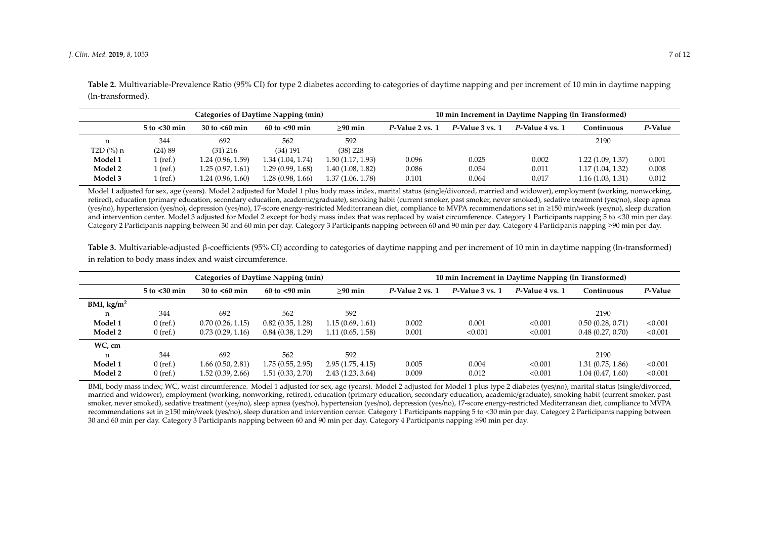**Categories of Daytime Napping (min) 10 min Increment in Daytime Napping (ln Transformed) 5 to** <**30 min 30 to** <**60 min 60 to** <**90 min** ≥**90 min** *P***-Value 2 vs. 1** *P***-Value 3 vs. 1** *P***-Value 4 vs. 1 Continuous** *P***-Value** n 344 692 562 592 592 2190 T2D (%) n (24) 89 (31) 216 (34) 191 (38) 228 **Model 1** 1 (ref.) 1.24 (0.96, 1.59) 1.34 (1.04, 1.74) 1.50 (1.17, 1.93) 0.096 0.025 0.002 1.22 (1.09, 1.37) 0.001 **Model 2** 1 (ref.) 1.25 (0.97, 1.61) 1.29 (0.99, 1.68) 1.40 (1.08, 1.82) 0.086 0.054 0.011 1.17 (1.04, 1.32) 0.008 **Model 3** 1 (ref.) 1.24 (0.96, 1.60) 1.28 (0.98, 1.66) 1.37 (1.06, 1.78) 0.101 0.064 0.017 1.16 (1.03, 1.31) 0.012

**Table 2.** Multivariable-Prevalence Ratio (95% CI) for type 2 diabetes according to categories of daytime napping and per increment of 10 min in daytime napping (ln-transformed).

Model 1 adjusted for sex, age (years). Model 2 adjusted for Model 1 plus body mass index, marital status (single/divorced, married and widower), employment (working, nonworking, retired), education (primary education, secondary education, academic/graduate), smoking habit (current smoker, past smoker, never smoked), sedative treatment (yes/no), sleep apnea (yes/no), hypertension (yes/no), depression (yes/no), 17-score energy-restricted Mediterranean diet, compliance to MVPA recommendations set in ≥150 min/week (yes/no), sleep duration and intervention center. Model 3 adjusted for Model 2 except for body mass index that was replaced by waist circumference. Category 1 Participants napping 5 to <30 min per day. Category 2 Participants napping between 30 and 60 min per day. Category 3 Participants napping between 60 and 90 min per day. Category 4 Participants napping ≥90 min per day.

**Table 3.** Multivariable-adjusted β-coefficients (95% CI) according to categories of daytime napping and per increment of 10 min in daytime napping (ln-transformed) in relation to body mass index and waist circumference.

<span id="page-6-0"></span>

|                      | Categories of Daytime Napping (min) |                                   |                                 |                  | 10 min Increment in Daytime Napping (In Transformed) |                 |                 |                  |         |
|----------------------|-------------------------------------|-----------------------------------|---------------------------------|------------------|------------------------------------------------------|-----------------|-----------------|------------------|---------|
|                      | $5$ to $<$ 30 min                   | $30 \text{ to } < 60 \text{ min}$ | $60 \text{ to } 50 \text{ min}$ | $\geq$ 90 min    | P-Value 2 vs. 1                                      | P-Value 3 vs. 1 | P-Value 4 vs. 1 | Continuous       | P-Value |
| BMI, $\text{kg/m}^2$ |                                     |                                   |                                 |                  |                                                      |                 |                 |                  |         |
| n                    | 344                                 | 692                               | 562                             | 592              |                                                      |                 |                 | 2190             |         |
| Model 1              | $0$ (ref.)                          | 0.70(0.26, 1.15)                  | 0.82(0.35, 1.28)                | 1.15(0.69, 1.61) | 0.002                                                | 0.001           | < 0.001         | 0.50(0.28, 0.71) | < 0.001 |
| Model 2              | $0$ (ref.)                          | 0.73(0.29, 1.16)                  | 0.84(0.38, 1.29)                | 1.11(0.65, 1.58) | 0.001                                                | < 0.001         | < 0.001         | 0.48(0.27, 0.70) | < 0.001 |
| WC, cm               |                                     |                                   |                                 |                  |                                                      |                 |                 |                  |         |
| n                    | 344                                 | 692                               | 562                             | 592              |                                                      |                 |                 | 2190             |         |
| Model 1              | $0$ (ref.)                          | 1.66(0.50, 2.81)                  | 1.75(0.55, 2.95)                | 2.95(1.75, 4.15) | 0.005                                                | 0.004           | < 0.001         | 1.31(0.75, 1.86) | < 0.001 |
| Model 2              | $0$ (ref.)                          | 1.52 (0.39, 2.66)                 | 1.51 (0.33, 2.70)               | 2.43(1.23, 3.64) | 0.009                                                | 0.012           | < 0.001         | 1.04(0.47, 1.60) | < 0.001 |

<span id="page-6-1"></span>BMI, body mass index; WC, waist circumference. Model 1 adjusted for sex, age (years). Model 2 adjusted for Model 1 plus type 2 diabetes (yes/no), marital status (single/divorced, married and widower), employment (working, nonworking, retired), education (primary education, secondary education, academic/graduate), smoking habit (current smoker, past smoker, never smoked), sedative treatment (yes/no), sleep apnea (yes/no), hypertension (yes/no), depression (yes/no), 17-score energy-restricted Mediterranean diet, compliance to MVPA recommendations set in ≥150 min/week (yes/no), sleep duration and intervention center. Category 1 Participants napping 5 to <30 min per day. Category 2 Participants napping between 30 and 60 min per day. Category 3 Participants napping between 60 and 90 min per day. Category 4 Participants napping ≥90 min per day.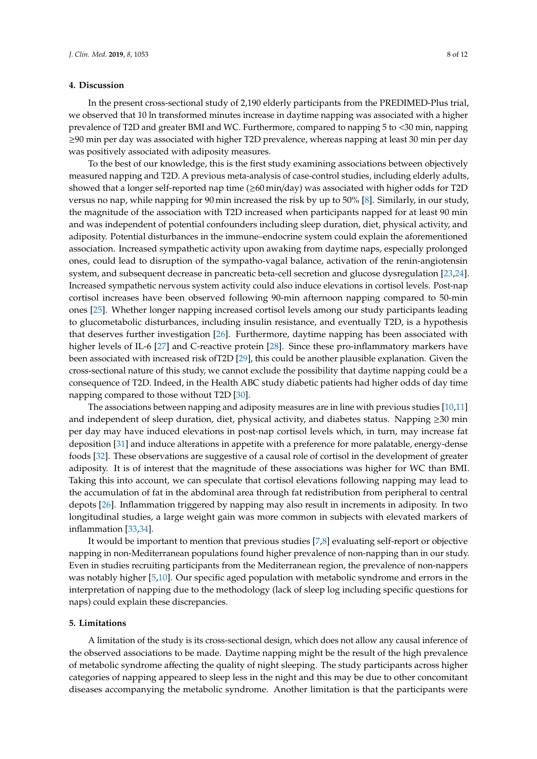#### **4. Discussion**

In the present cross-sectional study of 2,190 elderly participants from the PREDIMED-Plus trial, we observed that 10 ln transformed minutes increase in daytime napping was associated with a higher prevalence of T2D and greater BMI and WC. Furthermore, compared to napping 5 to <30 min, napping ≥90 min per day was associated with higher T2D prevalence, whereas napping at least 30 min per day was positively associated with adiposity measures.

To the best of our knowledge, this is the first study examining associations between objectively measured napping and T2D. A previous meta-analysis of case-control studies, including elderly adults, showed that a longer self-reported nap time (≥60 min/day) was associated with higher odds for T2D versus no nap, while napping for 90 min increased the risk by up to 50% [\[8\]](#page-9-6). Similarly, in our study, the magnitude of the association with T2D increased when participants napped for at least 90 min and was independent of potential confounders including sleep duration, diet, physical activity, and adiposity. Potential disturbances in the immune–endocrine system could explain the aforementioned association. Increased sympathetic activity upon awaking from daytime naps, especially prolonged ones, could lead to disruption of the sympatho-vagal balance, activation of the renin-angiotensin system, and subsequent decrease in pancreatic beta-cell secretion and glucose dysregulation [\[23,](#page-10-9)[24\]](#page-10-10). Increased sympathetic nervous system activity could also induce elevations in cortisol levels. Post-nap cortisol increases have been observed following 90-min afternoon napping compared to 50-min ones [\[25\]](#page-10-11). Whether longer napping increased cortisol levels among our study participants leading to glucometabolic disturbances, including insulin resistance, and eventually T2D, is a hypothesis that deserves further investigation [\[26\]](#page-10-12). Furthermore, daytime napping has been associated with higher levels of IL-6 [\[27\]](#page-10-13) and C-reactive protein [\[28\]](#page-10-14). Since these pro-inflammatory markers have been associated with increased risk ofT2D [\[29\]](#page-10-15), this could be another plausible explanation. Given the cross-sectional nature of this study, we cannot exclude the possibility that daytime napping could be a consequence of T2D. Indeed, in the Health ABC study diabetic patients had higher odds of day time napping compared to those without T2D [\[30\]](#page-10-16).

The associations between napping and adiposity measures are in line with previous studies [\[10,](#page-9-8)[11\]](#page-9-9) and independent of sleep duration, diet, physical activity, and diabetes status. Napping  $\geq$ 30 min per day may have induced elevations in post-nap cortisol levels which, in turn, may increase fat deposition [\[31\]](#page-10-17) and induce alterations in appetite with a preference for more palatable, energy-dense foods [\[32\]](#page-10-18). These observations are suggestive of a causal role of cortisol in the development of greater adiposity. It is of interest that the magnitude of these associations was higher for WC than BMI. Taking this into account, we can speculate that cortisol elevations following napping may lead to the accumulation of fat in the abdominal area through fat redistribution from peripheral to central depots [\[26\]](#page-10-12). Inflammation triggered by napping may also result in increments in adiposity. In two longitudinal studies, a large weight gain was more common in subjects with elevated markers of inflammation [\[33](#page-11-0)[,34\]](#page-11-1).

It would be important to mention that previous studies [\[7](#page-9-5)[,8\]](#page-9-6) evaluating self-report or objective napping in non-Mediterranean populations found higher prevalence of non-napping than in our study. Even in studies recruiting participants from the Mediterranean region, the prevalence of non-nappers was notably higher [\[5,](#page-9-3)[10\]](#page-9-8). Our specific aged population with metabolic syndrome and errors in the interpretation of napping due to the methodology (lack of sleep log including specific questions for naps) could explain these discrepancies.

#### **5. Limitations**

A limitation of the study is its cross-sectional design, which does not allow any causal inference of the observed associations to be made. Daytime napping might be the result of the high prevalence of metabolic syndrome affecting the quality of night sleeping. The study participants across higher categories of napping appeared to sleep less in the night and this may be due to other concomitant diseases accompanying the metabolic syndrome. Another limitation is that the participants were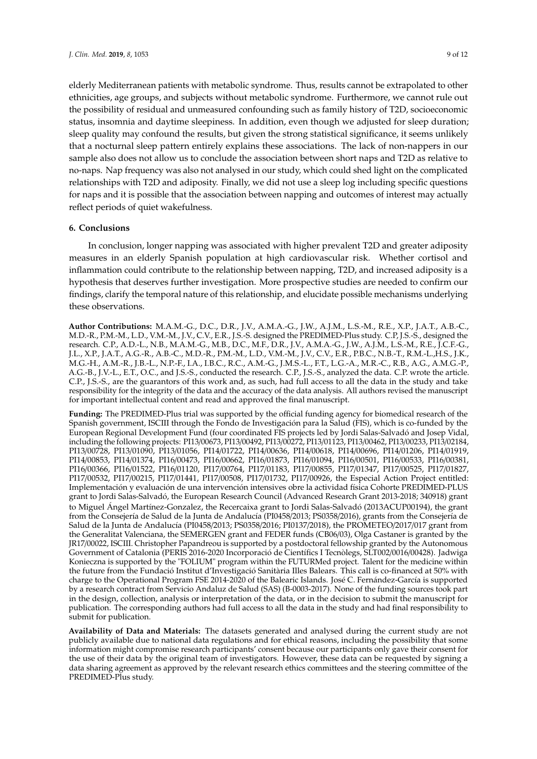elderly Mediterranean patients with metabolic syndrome. Thus, results cannot be extrapolated to other ethnicities, age groups, and subjects without metabolic syndrome. Furthermore, we cannot rule out the possibility of residual and unmeasured confounding such as family history of T2D, socioeconomic status, insomnia and daytime sleepiness. In addition, even though we adjusted for sleep duration; sleep quality may confound the results, but given the strong statistical significance, it seems unlikely that a nocturnal sleep pattern entirely explains these associations. The lack of non-nappers in our sample also does not allow us to conclude the association between short naps and T2D as relative to no-naps. Nap frequency was also not analysed in our study, which could shed light on the complicated relationships with T2D and adiposity. Finally, we did not use a sleep log including specific questions for naps and it is possible that the association between napping and outcomes of interest may actually reflect periods of quiet wakefulness.

# **6. Conclusions**

In conclusion, longer napping was associated with higher prevalent T2D and greater adiposity measures in an elderly Spanish population at high cardiovascular risk. Whether cortisol and inflammation could contribute to the relationship between napping, T2D, and increased adiposity is a hypothesis that deserves further investigation. More prospective studies are needed to confirm our findings, clarify the temporal nature of this relationship, and elucidate possible mechanisms underlying these observations.

**Author Contributions:** M.A.M.-G., D.C., D.R., J.V., A.M.A.-G., J.W., A.J.M., L.S.-M., R.E., X.P., J.A.T., A.B.-C., M.D.-R., P.M.-M., L.D., V.M.-M., J.V., C.V., E.R., J.S.-S. designed the PREDIMED-Plus study. C.P, J.S.-S., designed the research. C.P., A.D.-L., N.B., M.A.M.-G., M.B., D.C., M.F., D.R., J.V., A.M.A.-G., J.W., A.J.M., L.S.-M., R.E., J.C.F.-G., J.L., X.P., J.A.T., A.G.-R., A.B.-C., M.D.-R., P.M.-M., L.D., V.M.-M., J.V., C.V., E.R., P.B.C., N.B.-T., R.M.-L.,H.S., J.K., M.G.-H., A.M.-R., J.B.-L., N.P.-F., I.A., I.B.C., R.C., A.M.-G., J.M.S.-L., F.T., L.G.-A., M.R.-C., R.B., A.G., A.M.G.-P., A.G.-B., J.V.-L., E.T., O.C., and J.S.-S., conducted the research. C.P., J.S.-S., analyzed the data. C.P. wrote the article. C.P., J.S.-S., are the guarantors of this work and, as such, had full access to all the data in the study and take responsibility for the integrity of the data and the accuracy of the data analysis. All authors revised the manuscript for important intellectual content and read and approved the final manuscript.

**Funding:** The PREDIMED-Plus trial was supported by the official funding agency for biomedical research of the Spanish government, ISCIII through the Fondo de Investigación para la Salud (FIS), which is co-funded by the European Regional Development Fund (four coordinated FIS projects led by Jordi Salas-Salvadó and Josep Vidal, including the following projects: PI13/00673, PI13/00492, PI13/00272, PI13/01123, PI13/00462, PI13/00233, PI13/02184, PI13/00728, PI13/01090, PI13/01056, PI14/01722, PI14/00636, PI14/00618, PI14/00696, PI14/01206, PI14/01919, PI14/00853, PI14/01374, PI16/00473, PI16/00662, PI16/01873, PI16/01094, PI16/00501, PI16/00533, PI16/00381, PI16/00366, PI16/01522, PI16/01120, PI17/00764, PI17/01183, PI17/00855, PI17/01347, PI17/00525, PI17/01827, PI17/00532, PI17/00215, PI17/01441, PI17/00508, PI17/01732, PI17/00926, the Especial Action Project entitled: Implementación y evaluación de una intervención intensives obre la actividad física Cohorte PREDIMED-PLUS grant to Jordi Salas-Salvadó, the European Research Council (Advanced Research Grant 2013-2018; 340918) grant to Miguel Ángel Martínez-Gonzalez, the Recercaixa grant to Jordi Salas-Salvadó (2013ACUP00194), the grant from the Consejería de Salud de la Junta de Andalucía (PI0458/2013; PS0358/2016), grants from the Consejería de Salud de la Junta de Andalucía (PI0458/2013; PS0358/2016; PI0137/2018), the PROMETEO/2017/017 grant from the Generalitat Valenciana, the SEMERGEN grant and FEDER funds (CB06/03), Olga Castaner is granted by the JR17/00022, ISCIII. Christopher Papandreou is supported by a postdoctoral fellowship granted by the Autonomous Government of Catalonia (PERIS 2016-2020 Incorporació de Científics I Tecnòlegs, SLT002/0016/00428). Jadwiga Konieczna is supported by the "FOLIUM" program within the FUTURMed project. Talent for the medicine within the future from the Fundació Institut d'Investigació Sanitària Illes Balears. This call is co-financed at 50% with charge to the Operational Program FSE 2014-2020 of the Balearic Islands. José C. Fernández-García is supported by a research contract from Servicio Andaluz de Salud (SAS) (B-0003-2017). None of the funding sources took part in the design, collection, analysis or interpretation of the data, or in the decision to submit the manuscript for publication. The corresponding authors had full access to all the data in the study and had final responsibility to submit for publication.

**Availability of Data and Materials:** The datasets generated and analysed during the current study are not publicly available due to national data regulations and for ethical reasons, including the possibility that some information might compromise research participants' consent because our participants only gave their consent for the use of their data by the original team of investigators. However, these data can be requested by signing a data sharing agreement as approved by the relevant research ethics committees and the steering committee of the PREDIMED-Plus study.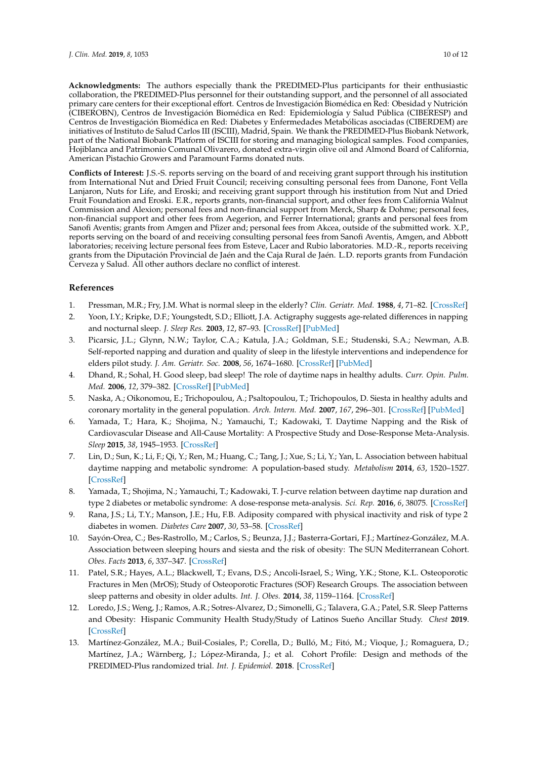**Acknowledgments:** The authors especially thank the PREDIMED-Plus participants for their enthusiastic collaboration, the PREDIMED-Plus personnel for their outstanding support, and the personnel of all associated primary care centers for their exceptional effort. Centros de Investigación Biomédica en Red: Obesidad y Nutrición (CIBEROBN), Centros de Investigación Biomédica en Red: Epidemiología y Salud Pública (CIBERESP) and Centros de Investigación Biomédica en Red: Diabetes y Enfermedades Metabólicas asociadas (CIBERDEM) are initiatives of Instituto de Salud Carlos III (ISCIII), Madrid, Spain. We thank the PREDIMED-Plus Biobank Network, part of the National Biobank Platform of ISCIII for storing and managing biological samples. Food companies, Hojiblanca and Patrimonio Comunal Olivarero, donated extra-virgin olive oil and Almond Board of California, American Pistachio Growers and Paramount Farms donated nuts.

**Conflicts of Interest:** J.S.-S. reports serving on the board of and receiving grant support through his institution from International Nut and Dried Fruit Council; receiving consulting personal fees from Danone, Font Vella Lanjaron, Nuts for Life, and Eroski; and receiving grant support through his institution from Nut and Dried Fruit Foundation and Eroski. E.R., reports grants, non-financial support, and other fees from California Walnut Commission and Alexion; personal fees and non-financial support from Merck, Sharp & Dohme; personal fees, non-financial support and other fees from Aegerion, and Ferrer International; grants and personal fees from Sanofi Aventis; grants from Amgen and Pfizer and; personal fees from Akcea, outside of the submitted work. X.P., reports serving on the board of and receiving consulting personal fees from Sanofi Aventis, Amgen, and Abbott laboratories; receiving lecture personal fees from Esteve, Lacer and Rubio laboratories. M.D.-R., reports receiving grants from the Diputación Provincial de Jaén and the Caja Rural de Jaén. L.D. reports grants from Fundación Cerveza y Salud. All other authors declare no conflict of interest.

# **References**

- <span id="page-9-0"></span>1. Pressman, M.R.; Fry, J.M. What is normal sleep in the elderly? *Clin. Geriatr. Med.* **1988**, *4*, 71–82. [\[CrossRef\]](http://dx.doi.org/10.1016/S0749-0690(18)30766-3)
- 2. Yoon, I.Y.; Kripke, D.F.; Youngstedt, S.D.; Elliott, J.A. Actigraphy suggests age-related differences in napping and nocturnal sleep. *J. Sleep Res.* **2003**, *12*, 87–93. [\[CrossRef\]](http://dx.doi.org/10.1046/j.1365-2869.2003.00345.x) [\[PubMed\]](http://www.ncbi.nlm.nih.gov/pubmed/12753345)
- <span id="page-9-1"></span>3. Picarsic, J.L.; Glynn, N.W.; Taylor, C.A.; Katula, J.A.; Goldman, S.E.; Studenski, S.A.; Newman, A.B. Self-reported napping and duration and quality of sleep in the lifestyle interventions and independence for elders pilot study. *J. Am. Geriatr. Soc.* **2008**, *56*, 1674–1680. [\[CrossRef\]](http://dx.doi.org/10.1111/j.1532-5415.2008.01838.x) [\[PubMed\]](http://www.ncbi.nlm.nih.gov/pubmed/18662202)
- <span id="page-9-2"></span>4. Dhand, R.; Sohal, H. Good sleep, bad sleep! The role of daytime naps in healthy adults. *Curr. Opin. Pulm. Med.* **2006**, *12*, 379–382. [\[CrossRef\]](http://dx.doi.org/10.1097/01.mcp.0000245703.92311.d0) [\[PubMed\]](http://www.ncbi.nlm.nih.gov/pubmed/17053484)
- <span id="page-9-3"></span>5. Naska, A.; Oikonomou, E.; Trichopoulou, A.; Psaltopoulou, T.; Trichopoulos, D. Siesta in healthy adults and coronary mortality in the general population. *Arch. Intern. Med.* **2007**, *167*, 296–301. [\[CrossRef\]](http://dx.doi.org/10.1001/archinte.167.3.296) [\[PubMed\]](http://www.ncbi.nlm.nih.gov/pubmed/17296887)
- <span id="page-9-4"></span>6. Yamada, T.; Hara, K.; Shojima, N.; Yamauchi, T.; Kadowaki, T. Daytime Napping and the Risk of Cardiovascular Disease and All-Cause Mortality: A Prospective Study and Dose-Response Meta-Analysis. *Sleep* **2015**, *38*, 1945–1953. [\[CrossRef\]](http://dx.doi.org/10.5665/sleep.5246)
- <span id="page-9-5"></span>7. Lin, D.; Sun, K.; Li, F.; Qi, Y.; Ren, M.; Huang, C.; Tang, J.; Xue, S.; Li, Y.; Yan, L. Association between habitual daytime napping and metabolic syndrome: A population-based study. *Metabolism* **2014**, *63*, 1520–1527. [\[CrossRef\]](http://dx.doi.org/10.1016/j.metabol.2014.08.005)
- <span id="page-9-6"></span>8. Yamada, T.; Shojima, N.; Yamauchi, T.; Kadowaki, T. J-curve relation between daytime nap duration and type 2 diabetes or metabolic syndrome: A dose-response meta-analysis. *Sci. Rep.* **2016**, *6*, 38075. [\[CrossRef\]](http://dx.doi.org/10.1038/srep38075)
- <span id="page-9-7"></span>9. Rana, J.S.; Li, T.Y.; Manson, J.E.; Hu, F.B. Adiposity compared with physical inactivity and risk of type 2 diabetes in women. *Diabetes Care* **2007**, *30*, 53–58. [\[CrossRef\]](http://dx.doi.org/10.2337/dc06-1456)
- <span id="page-9-8"></span>10. Sayón-Orea, C.; Bes-Rastrollo, M.; Carlos, S.; Beunza, J.J.; Basterra-Gortari, F.J.; Martínez-González, M.A. Association between sleeping hours and siesta and the risk of obesity: The SUN Mediterranean Cohort. *Obes. Facts* **2013**, *6*, 337–347. [\[CrossRef\]](http://dx.doi.org/10.1159/000354746)
- <span id="page-9-9"></span>11. Patel, S.R.; Hayes, A.L.; Blackwell, T.; Evans, D.S.; Ancoli-Israel, S.; Wing, Y.K.; Stone, K.L. Osteoporotic Fractures in Men (MrOS); Study of Osteoporotic Fractures (SOF) Research Groups. The association between sleep patterns and obesity in older adults. *Int. J. Obes.* **2014**, *38*, 1159–1164. [\[CrossRef\]](http://dx.doi.org/10.1038/ijo.2014.13)
- <span id="page-9-10"></span>12. Loredo, J.S.; Weng, J.; Ramos, A.R.; Sotres-Alvarez, D.; Simonelli, G.; Talavera, G.A.; Patel, S.R. Sleep Patterns and Obesity: Hispanic Community Health Study/Study of Latinos Sueño Ancillar Study. *Chest* **2019**. [\[CrossRef\]](http://dx.doi.org/10.1016/j.chest.2018.12.004)
- <span id="page-9-11"></span>13. Martínez-González, M.A.; Buil-Cosiales, P.; Corella, D.; Bulló, M.; Fitó, M.; Vioque, J.; Romaguera, D.; Martínez, J.A.; Wärnberg, J.; López-Miranda, J.; et al. Cohort Profile: Design and methods of the PREDIMED-Plus randomized trial. *Int. J. Epidemiol.* **2018**. [\[CrossRef\]](http://dx.doi.org/10.1093/ije/dyy225)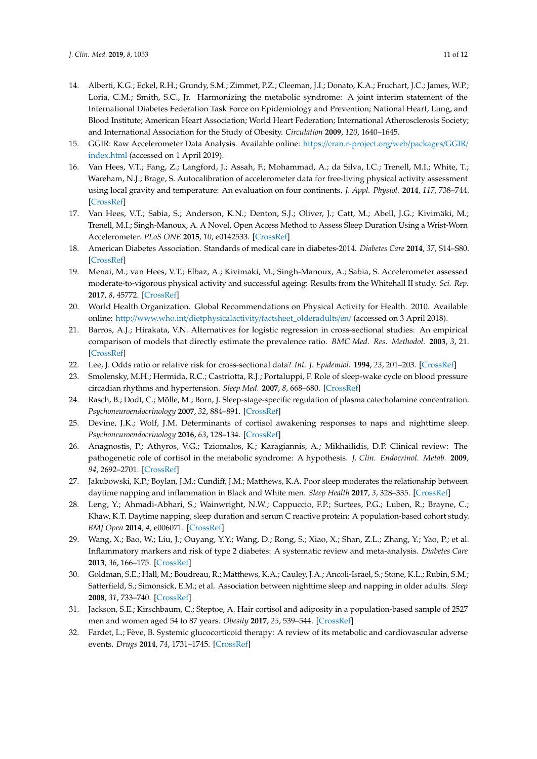- <span id="page-10-0"></span>14. Alberti, K.G.; Eckel, R.H.; Grundy, S.M.; Zimmet, P.Z.; Cleeman, J.I.; Donato, K.A.; Fruchart, J.C.; James, W.P.; Loria, C.M.; Smith, S.C., Jr. Harmonizing the metabolic syndrome: A joint interim statement of the International Diabetes Federation Task Force on Epidemiology and Prevention; National Heart, Lung, and Blood Institute; American Heart Association; World Heart Federation; International Atherosclerosis Society; and International Association for the Study of Obesity. *Circulation* **2009**, *120*, 1640–1645.
- <span id="page-10-1"></span>15. GGIR: Raw Accelerometer Data Analysis. Available online: https://[cran.r-project.org](https://cran.r-project.org/web/packages/GGIR/index.html)/web/packages/GGIR/ [index.html](https://cran.r-project.org/web/packages/GGIR/index.html) (accessed on 1 April 2019).
- <span id="page-10-2"></span>16. Van Hees, V.T.; Fang, Z.; Langford, J.; Assah, F.; Mohammad, A.; da Silva, I.C.; Trenell, M.I.; White, T.; Wareham, N.J.; Brage, S. Autocalibration of accelerometer data for free-living physical activity assessment using local gravity and temperature: An evaluation on four continents. *J. Appl. Physiol.* **2014**, *117*, 738–744. [\[CrossRef\]](http://dx.doi.org/10.1152/japplphysiol.00421.2014)
- <span id="page-10-3"></span>17. Van Hees, V.T.; Sabia, S.; Anderson, K.N.; Denton, S.J.; Oliver, J.; Catt, M.; Abell, J.G.; Kivimäki, M.; Trenell, M.I.; Singh-Manoux, A. A Novel, Open Access Method to Assess Sleep Duration Using a Wrist-Worn Accelerometer. *PLoS ONE* **2015**, *10*, e0142533. [\[CrossRef\]](http://dx.doi.org/10.1371/journal.pone.0142533)
- <span id="page-10-4"></span>18. American Diabetes Association. Standards of medical care in diabetes-2014. *Diabetes Care* **2014**, *37*, S14–S80. [\[CrossRef\]](http://dx.doi.org/10.2337/dc14-S014)
- <span id="page-10-5"></span>19. Menai, M.; van Hees, V.T.; Elbaz, A.; Kivimaki, M.; Singh-Manoux, A.; Sabia, S. Accelerometer assessed moderate-to-vigorous physical activity and successful ageing: Results from the Whitehall II study. *Sci. Rep.* **2017**, *8*, 45772. [\[CrossRef\]](http://dx.doi.org/10.1038/srep45772)
- <span id="page-10-6"></span>20. World Health Organization. Global Recommendations on Physical Activity for Health. 2010. Available online: http://www.who.int/dietphysicalactivity/[factsheet\\_olderadults](http://www.who.int/dietphysicalactivity/factsheet_olderadults/en/)/en/ (accessed on 3 April 2018).
- <span id="page-10-7"></span>21. Barros, A.J.; Hirakata, V.N. Alternatives for logistic regression in cross-sectional studies: An empirical comparison of models that directly estimate the prevalence ratio. *BMC Med. Res. Methodol.* **2003**, *3*, 21. [\[CrossRef\]](http://dx.doi.org/10.1186/1471-2288-3-21)
- <span id="page-10-8"></span>22. Lee, J. Odds ratio or relative risk for cross-sectional data? *Int. J. Epidemiol.* **1994**, *23*, 201–203. [\[CrossRef\]](http://dx.doi.org/10.1093/ije/23.1.201)
- <span id="page-10-9"></span>23. Smolensky, M.H.; Hermida, R.C.; Castriotta, R.J.; Portaluppi, F. Role of sleep-wake cycle on blood pressure circadian rhythms and hypertension. *Sleep Med.* **2007**, *8*, 668–680. [\[CrossRef\]](http://dx.doi.org/10.1016/j.sleep.2006.11.011)
- <span id="page-10-10"></span>24. Rasch, B.; Dodt, C.; Mölle, M.; Born, J. Sleep-stage-specific regulation of plasma catecholamine concentration. *Psychoneuroendocrinology* **2007**, *32*, 884–891. [\[CrossRef\]](http://dx.doi.org/10.1016/j.psyneuen.2007.06.007)
- <span id="page-10-11"></span>25. Devine, J.K.; Wolf, J.M. Determinants of cortisol awakening responses to naps and nighttime sleep. *Psychoneuroendocrinology* **2016**, *63*, 128–134. [\[CrossRef\]](http://dx.doi.org/10.1016/j.psyneuen.2015.09.016)
- <span id="page-10-12"></span>26. Anagnostis, P.; Athyros, V.G.; Tziomalos, K.; Karagiannis, A.; Mikhailidis, D.P. Clinical review: The pathogenetic role of cortisol in the metabolic syndrome: A hypothesis. *J. Clin. Endocrinol. Metab.* **2009**, *94*, 2692–2701. [\[CrossRef\]](http://dx.doi.org/10.1210/jc.2009-0370)
- <span id="page-10-13"></span>27. Jakubowski, K.P.; Boylan, J.M.; Cundiff, J.M.; Matthews, K.A. Poor sleep moderates the relationship between daytime napping and inflammation in Black and White men. *Sleep Health* **2017**, *3*, 328–335. [\[CrossRef\]](http://dx.doi.org/10.1016/j.sleh.2017.06.005)
- <span id="page-10-14"></span>28. Leng, Y.; Ahmadi-Abhari, S.; Wainwright, N.W.; Cappuccio, F.P.; Surtees, P.G.; Luben, R.; Brayne, C.; Khaw, K.T. Daytime napping, sleep duration and serum C reactive protein: A population-based cohort study. *BMJ Open* **2014**, *4*, e006071. [\[CrossRef\]](http://dx.doi.org/10.1136/bmjopen-2014-006071)
- <span id="page-10-15"></span>29. Wang, X.; Bao, W.; Liu, J.; Ouyang, Y.Y.; Wang, D.; Rong, S.; Xiao, X.; Shan, Z.L.; Zhang, Y.; Yao, P.; et al. Inflammatory markers and risk of type 2 diabetes: A systematic review and meta-analysis. *Diabetes Care* **2013**, *36*, 166–175. [\[CrossRef\]](http://dx.doi.org/10.2337/dc12-0702)
- <span id="page-10-16"></span>30. Goldman, S.E.; Hall, M.; Boudreau, R.; Matthews, K.A.; Cauley, J.A.; Ancoli-Israel, S.; Stone, K.L.; Rubin, S.M.; Satterfield, S.; Simonsick, E.M.; et al. Association between nighttime sleep and napping in older adults. *Sleep* **2008**, *31*, 733–740. [\[CrossRef\]](http://dx.doi.org/10.1093/sleep/31.5.733)
- <span id="page-10-17"></span>31. Jackson, S.E.; Kirschbaum, C.; Steptoe, A. Hair cortisol and adiposity in a population-based sample of 2527 men and women aged 54 to 87 years. *Obesity* **2017**, *25*, 539–544. [\[CrossRef\]](http://dx.doi.org/10.1002/oby.21733)
- <span id="page-10-18"></span>32. Fardet, L.; Fève, B. Systemic glucocorticoid therapy: A review of its metabolic and cardiovascular adverse events. *Drugs* **2014**, *74*, 1731–1745. [\[CrossRef\]](http://dx.doi.org/10.1007/s40265-014-0282-9)